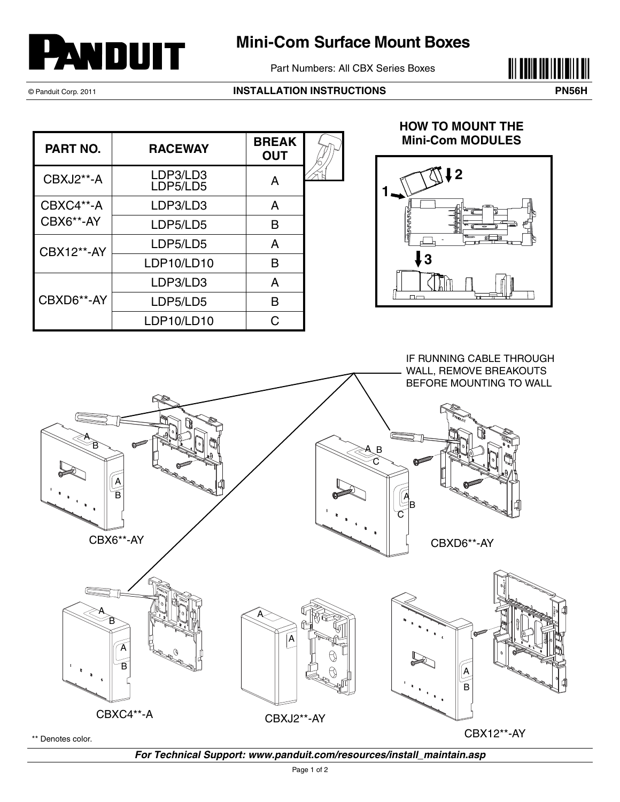

## **Mini-Com Surface Mount Boxes**

Part Numbers: All CBX Series Boxes



## © Panduit Corp. 2011 **INSTALLATION INSTRUCTIONS PN56H**



| <b>PART NO.</b>        | <b>RACEWAY</b>       | <b>BREAK</b><br><b>OUT</b> |  |
|------------------------|----------------------|----------------------------|--|
| CBXJ2**-A              | LDP3/LD3<br>LDP5/LD5 | A                          |  |
| CBXC4**-A<br>CBX6**-AY | LDP3/LD3             | A                          |  |
|                        | LDP5/LD5             | в                          |  |
| <b>CBX12**-AY</b>      | LDP5/LD5             | A                          |  |
|                        | LDP10/LD10           | в                          |  |
| CBXD6**-AY             | LDP3/LD3             | A                          |  |
|                        | LDP5/LD5             | в                          |  |
|                        | LDP10/LD10           |                            |  |

## **HOW TO MOUNT THE Mini-Com MODULES**





*For Technical Support: www.panduit.com/resources/install\_maintain.asp*